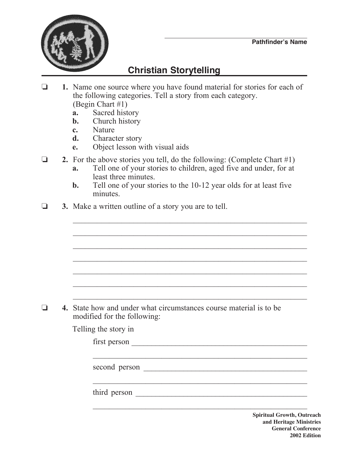

## **Christian Storytelling**

- o **1.** Name one source where you have found material for stories for each of the following categories. Tell a story from each category. (Begin Chart #1)
	- **a.** Sacred history
	- **b.** Church history
	- **c.** Nature
	- **d.** Character story
	- **e.** Object lesson with visual aids
- **2.** For the above stories you tell, do the following: (Complete Chart  $#1$ )
	- **a.** Tell one of your stories to children, aged five and under, for at least three minutes.
	- **b.** Tell one of your stories to the 10-12 year olds for at least five minutes.

 $\mathcal{L}_\text{max} = \frac{1}{2} \sum_{i=1}^n \frac{1}{2} \sum_{i=1}^n \frac{1}{2} \sum_{i=1}^n \frac{1}{2} \sum_{i=1}^n \frac{1}{2} \sum_{i=1}^n \frac{1}{2} \sum_{i=1}^n \frac{1}{2} \sum_{i=1}^n \frac{1}{2} \sum_{i=1}^n \frac{1}{2} \sum_{i=1}^n \frac{1}{2} \sum_{i=1}^n \frac{1}{2} \sum_{i=1}^n \frac{1}{2} \sum_{i=1}^n \frac{1}{2} \sum_{i=1}^n$ 

 $\frac{1}{2}$  ,  $\frac{1}{2}$  ,  $\frac{1}{2}$  ,  $\frac{1}{2}$  ,  $\frac{1}{2}$  ,  $\frac{1}{2}$  ,  $\frac{1}{2}$  ,  $\frac{1}{2}$  ,  $\frac{1}{2}$  ,  $\frac{1}{2}$  ,  $\frac{1}{2}$  ,  $\frac{1}{2}$  ,  $\frac{1}{2}$  ,  $\frac{1}{2}$  ,  $\frac{1}{2}$  ,  $\frac{1}{2}$  ,  $\frac{1}{2}$  ,  $\frac{1}{2}$  ,  $\frac{1$ 

 $\mathcal{L}_\text{max} = \frac{1}{2} \sum_{i=1}^n \frac{1}{2} \sum_{i=1}^n \frac{1}{2} \sum_{i=1}^n \frac{1}{2} \sum_{i=1}^n \frac{1}{2} \sum_{i=1}^n \frac{1}{2} \sum_{i=1}^n \frac{1}{2} \sum_{i=1}^n \frac{1}{2} \sum_{i=1}^n \frac{1}{2} \sum_{i=1}^n \frac{1}{2} \sum_{i=1}^n \frac{1}{2} \sum_{i=1}^n \frac{1}{2} \sum_{i=1}^n \frac{1}{2} \sum_{i=1}^n$ 

 $\mathcal{L}_\text{max} = \frac{1}{2} \sum_{i=1}^n \frac{1}{2} \sum_{i=1}^n \frac{1}{2} \sum_{i=1}^n \frac{1}{2} \sum_{i=1}^n \frac{1}{2} \sum_{i=1}^n \frac{1}{2} \sum_{i=1}^n \frac{1}{2} \sum_{i=1}^n \frac{1}{2} \sum_{i=1}^n \frac{1}{2} \sum_{i=1}^n \frac{1}{2} \sum_{i=1}^n \frac{1}{2} \sum_{i=1}^n \frac{1}{2} \sum_{i=1}^n \frac{1}{2} \sum_{i=1}^n$ 

 $\mathcal{L}_\text{max} = \frac{1}{2} \sum_{i=1}^n \frac{1}{2} \sum_{i=1}^n \frac{1}{2} \sum_{i=1}^n \frac{1}{2} \sum_{i=1}^n \frac{1}{2} \sum_{i=1}^n \frac{1}{2} \sum_{i=1}^n \frac{1}{2} \sum_{i=1}^n \frac{1}{2} \sum_{i=1}^n \frac{1}{2} \sum_{i=1}^n \frac{1}{2} \sum_{i=1}^n \frac{1}{2} \sum_{i=1}^n \frac{1}{2} \sum_{i=1}^n \frac{1}{2} \sum_{i=1}^n$ 

 $\mathcal{L}_\text{max} = \frac{1}{2} \sum_{i=1}^n \frac{1}{2} \sum_{i=1}^n \frac{1}{2} \sum_{i=1}^n \frac{1}{2} \sum_{i=1}^n \frac{1}{2} \sum_{i=1}^n \frac{1}{2} \sum_{i=1}^n \frac{1}{2} \sum_{i=1}^n \frac{1}{2} \sum_{i=1}^n \frac{1}{2} \sum_{i=1}^n \frac{1}{2} \sum_{i=1}^n \frac{1}{2} \sum_{i=1}^n \frac{1}{2} \sum_{i=1}^n \frac{1}{2} \sum_{i=1}^n$ 

 $\frac{1}{2}$  ,  $\frac{1}{2}$  ,  $\frac{1}{2}$  ,  $\frac{1}{2}$  ,  $\frac{1}{2}$  ,  $\frac{1}{2}$  ,  $\frac{1}{2}$  ,  $\frac{1}{2}$  ,  $\frac{1}{2}$  ,  $\frac{1}{2}$  ,  $\frac{1}{2}$  ,  $\frac{1}{2}$  ,  $\frac{1}{2}$  ,  $\frac{1}{2}$  ,  $\frac{1}{2}$  ,  $\frac{1}{2}$  ,  $\frac{1}{2}$  ,  $\frac{1}{2}$  ,  $\frac{1$ 

 $\mathcal{L}_\text{max} = \frac{1}{2} \sum_{i=1}^n \frac{1}{2} \sum_{i=1}^n \frac{1}{2} \sum_{i=1}^n \frac{1}{2} \sum_{i=1}^n \frac{1}{2} \sum_{i=1}^n \frac{1}{2} \sum_{i=1}^n \frac{1}{2} \sum_{i=1}^n \frac{1}{2} \sum_{i=1}^n \frac{1}{2} \sum_{i=1}^n \frac{1}{2} \sum_{i=1}^n \frac{1}{2} \sum_{i=1}^n \frac{1}{2} \sum_{i=1}^n \frac{1}{2} \sum_{i=1}^n$ 

 $\mathcal{L}_\text{max} = \frac{1}{2} \sum_{i=1}^n \frac{1}{2} \sum_{i=1}^n \frac{1}{2} \sum_{i=1}^n \frac{1}{2} \sum_{i=1}^n \frac{1}{2} \sum_{i=1}^n \frac{1}{2} \sum_{i=1}^n \frac{1}{2} \sum_{i=1}^n \frac{1}{2} \sum_{i=1}^n \frac{1}{2} \sum_{i=1}^n \frac{1}{2} \sum_{i=1}^n \frac{1}{2} \sum_{i=1}^n \frac{1}{2} \sum_{i=1}^n \frac{1}{2} \sum_{i=1}^n$ 

 $\mathcal{L}_\text{max}$  and  $\mathcal{L}_\text{max}$  and  $\mathcal{L}_\text{max}$  and  $\mathcal{L}_\text{max}$  and  $\mathcal{L}_\text{max}$  and  $\mathcal{L}_\text{max}$ 

**3.** Make a written outline of a story you are to tell.

o **4.** State how and under what circumstances course material is to be modified for the following:

Telling the story in

 $first person$   $\qquad \qquad \qquad$ 

second person \_\_\_\_\_\_\_\_\_\_\_\_\_\_\_\_\_\_\_\_\_\_\_\_\_\_\_\_\_\_\_\_\_\_\_\_\_\_\_\_\_

third person \_\_\_\_\_\_\_\_\_\_\_\_\_\_\_\_\_\_\_\_\_\_\_\_\_\_\_\_\_\_\_\_\_\_\_\_\_\_\_\_\_\_\_

**Spiritual Growth, Outreach and Heritage Ministries General Conference 2002 Edition**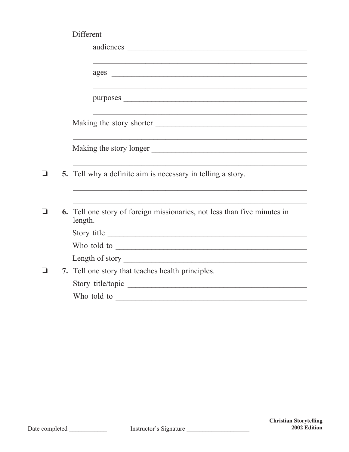|     | Different                                                                           |
|-----|-------------------------------------------------------------------------------------|
|     |                                                                                     |
|     |                                                                                     |
|     |                                                                                     |
|     |                                                                                     |
|     |                                                                                     |
|     |                                                                                     |
|     |                                                                                     |
|     |                                                                                     |
|     |                                                                                     |
|     |                                                                                     |
| - 1 | 5. Tell why a definite aim is necessary in telling a story.                         |
|     |                                                                                     |
|     |                                                                                     |
|     | 6. Tell one story of foreign missionaries, not less than five minutes in<br>length. |
|     | Story title                                                                         |
|     | Who told to                                                                         |
|     |                                                                                     |
|     | 7. Tell one story that teaches health principles.                                   |
|     |                                                                                     |
|     | Who told to                                                                         |